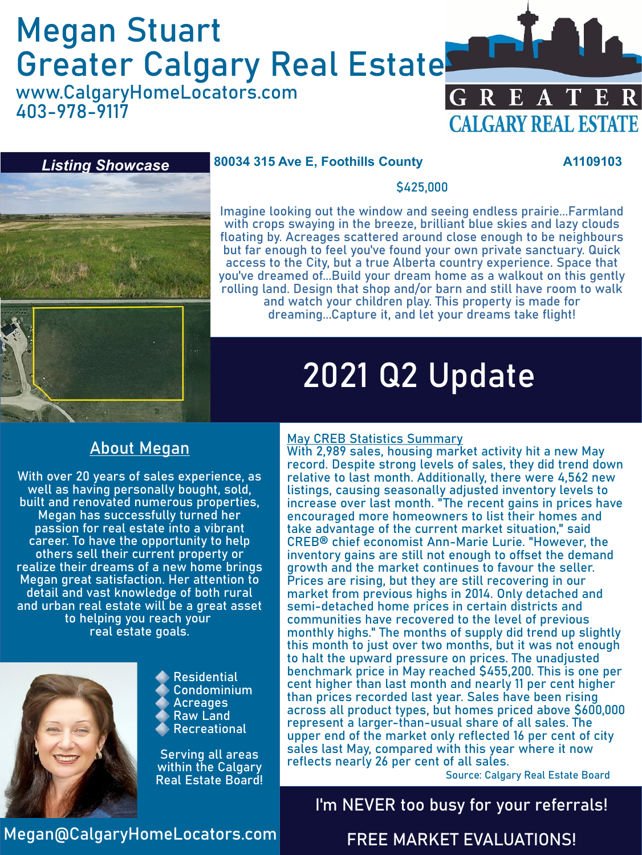# Megan Stuart Greater Calgary Real Estate

www.CalgaryHomeLocators.com 403-978-9117





### **80034 315 Ave E, Foothills County A1109103**

### \$425,000

Imagine looking out the window and seeing endless prairie...Farmland with crops swaying in the breeze, brilliant blue skies and lazy clouds floating by. Acreages scattered around close enough to be neighbours but far enough to feel you've found your own private sanctuary. Quick access to the City, but a true Alberta country experience. Space that you've dreamed of...Build your dream home as a walkout on this gently rolling land. Design that shop and/or barn and still have room to walk and watch your children play. This property is made for dreaming...Capture it, and let your dreams take flight!

## 2021 Q2 Update

### About Megan

With over 20 years of sales experience, as well as having personally bought, sold, built and renovated numerous properties, Megan has successfully turned her passion for real estate into a vibrant career. To have the opportunity to help others sell their current property or realize their dreams of a new home brings Megan great satisfaction. Her attention to detail and vast knowledge of both rural and urban real estate will be a great asset to helping you reach your real estate goals.



Residential Condominium Acreages Raw Land Recreational

Serving all areas within the Calgary Real Estate Board!

#### May CREB Statistics Summary

With 2,989 sales, housing market activity hit a new May record. Despite strong levels of sales, they did trend down relative to last month. Additionally, there were 4,562 new listings, causing seasonally adjusted inventory levels to increase over last month. "The recent gains in prices have encouraged more homeowners to list their homes and take advantage of the current market situation," said CREB® chief economist Ann-Marie Lurie. "However, the inventory gains are still not enough to offset the demand growth and the market continues to favour the seller. Prices are rising, but they are still recovering in our market from previous highs in 2014. Only detached and semi-detached home prices in certain districts and communities have recovered to the level of previous monthly highs." The months of supply did trend up slightly this month to just over two months, but it was not enough to halt the upward pressure on prices. The unadjusted benchmark price in May reached \$455,200. This is one per cent higher than last month and nearly 11 per cent higher than prices recorded last year. Sales have been rising across all product types, but homes priced above \$600,000 represent a larger-than-usual share of all sales. The upper end of the market only reflected 16 per cent of city sales last May, compared with this year where it now reflects nearly 26 per cent of all sales.

Source: Calgary Real Estate Board

### I'm NEVER too busy for your referrals!

Megan@CalgaryHomeLocators.com

### FREE MARKET EVALUATIONS!